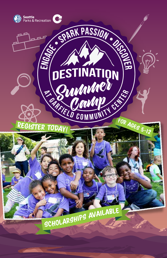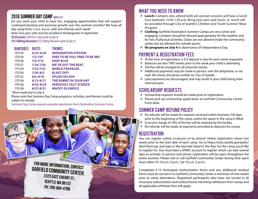#### 2018 SUMMER DAY CAMP AGES 5-12

Do you want your child to have fun, engaging opportunities that will support continued learning and personal growth over the summer months? We have all day camp from 7 a.m.-6 p.m. with new themes each week! *Note: Five-year-olds must be enrolled in Kindergarten in September*

**\$225/week** *(\$180 for 4-day week of July 4)*

**\$15 Sibling Discount** *(\$12 Sibling Discount week of July 4)*

| <b>BARCODES</b> | <b>DATES</b>  | <b>THEMES</b>                         |
|-----------------|---------------|---------------------------------------|
| 175118          | $6/25 - 6/29$ | <b>IMAGINATION STATION</b>            |
| 175124          | $7/2 - 7/6*$  | <b>FREE TO BE YOU, FREE TO BE ME!</b> |
| 175126          | $7/9 - 7/13$  | <b>DEEP BLUE</b>                      |
| 175127          | $7/16 - 7/20$ | <b>WE'VE GOT THE BEAT</b>             |
| 175129          | 7/23-7/27     | <b>WORLD TRAVELER</b>                 |
| 175130          | $7/30 - 8/3$  | <b>BLAST OFF!</b>                     |
| 175132          | $8/6 - 8/10$  | <b>SPLISH SPLASH</b>                  |
| 175134          | $8/13 - 8/17$ | <b>THE RABBIT IN YOUR HAT</b>         |
| 175136          | 8/20-8/24     | <b>SERIOUSLY SILLY SCIENCE</b>        |
| 175138          | 8/27-8/31     | <b>WACKY OLYMPICS</b>                 |
|                 |               |                                       |

*\*Short week due to July 4.*

*Please note that Summer Day Camp programs, activities, and themes could be subject to change.*

*Summer Day Camp requires separate registration from Destination Summer Camp.*



## WHAT YOU NEED TO KNOW

- » **Lunch:** Campers who attend both am and pm sessions will have a lunch hour between 12:30-1:30 p.m. Bring your own sack lunch, or lunch will be provided through City of Seattle's Children and Youth Summer Meal Program.
- » **Clothing:** Garfield Destination Summer Camps are very active and engaging. Campers should be dressed appropriately for the weather and for lots of physical activities. Cleats are not allowed inside the community center but are allowed for outside sports.
- » **No programs on July 4** in observance of Independence Day.

### PAYMENT & REGISTRATION FEES

- » At the time of registration, a \$15 deposit is due for each week requested.
- » Balances are due TWO weeks prior to the week your child is attending.
- » \$20 fee will be charged for all returned checks.
- » Additional payments may be made in person, over the telephone, or via mail. All checks should be written to: City of Seattle.
- » Late payments are discouraged, and may result in your child losing their reserved spot.

#### SCHOLARSHIP REQUESTS

- » Scholarship requests should be made prior to registration.
- » Please pick up scholarship application at Garfield Community Center front desk.

#### SUMMER CAMP REFUND POLICY

- » No refunds will be made for requests received within fourteen (14) days prior to the beginning of the camp, unless the space in the camp is filled.
- » A service charge of 10% of the fee will be retained by the facility.
- » No refunds will be made on payments provided as deposits for camps.

# **REGISTRATION**

You can register online, in-person or by phone! Online registration closes two weeks prior to the start date of each camp. Go to https://class.seattle.gov/parks/ Start/Start.asp and type in the barcode listed in this flyer for the camp you'd like to register for. You must have a SPARC account to register which can take several days to activate. In-person and phone registration will be open throughout the entire summer. Please visit or call Garfield Community Center during their open hours (Mon-Fri 10 a.m.-9 p.m., Sat 10 a.m.-5 p.m.).

Completed E-13 Participant Authorization forms and any additional medical forms must be turned in to Garfield Community Center a minimum of two weeks prior to camp attendance. Registered participants who have not turned in all necessary authorization and medical forms risk being withdrawn from camps and all applicable withdraw fees will apply.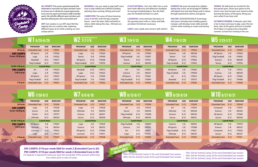|                   | W 1 6/25-6/29        |                   |                | <b>NO PROGRAM 7/4</b><br><b>WZ</b> 7/2-7/6 |                      |                   | W3 7/9-7/13    |                      |                   |                   | W4. 7/16-7/20 |                      |                   |                   | W5 7/23-7/27 |                      |                   |                |  |
|-------------------|----------------------|-------------------|----------------|--------------------------------------------|----------------------|-------------------|----------------|----------------------|-------------------|-------------------|---------------|----------------------|-------------------|-------------------|--------------|----------------------|-------------------|----------------|--|
|                   | <b>PROGRAM</b>       | <b>AGE</b>        | <b>BARCODE</b> |                                            | <b>PROGRAM</b>       | <b>AGE</b>        | <b>BARCODE</b> | <b>PROGRAM</b>       | <b>AGE</b>        | <b>BARCODE</b>    |               | <b>PROGRAM</b>       | <b>AGE</b>        | <b>BARCODE</b>    |              | <b>PROGRAM</b>       | <b>AGE</b>        | <b>BARCODE</b> |  |
| $8-9a.m.$         | <b>Extended Care</b> | $5 - 12$          | 179331         |                                            | <b>Extended Care</b> | $5 - 12$          | 179332         | <b>Extended Care</b> | $5 - 12$          | 179333            |               | <b>Extended Care</b> | $5 - 12$          | 179334            |              | <b>Extended Care</b> | $5 - 12$          | 179335         |  |
| <b>AM CAMPS</b>   | <b>All Sports</b>    | $5 - 8$           | 179356         |                                            | Lego                 | $5 - 8$           | 179324         | <b>All Sports</b>    | $5 - 8$           | 179360            |               | Science              | $5 - 8$           | 180328            |              | <b>All Sports</b>    | $5-8$             | 179364         |  |
| 9 a.m.-12:30 p.m. | Lego                 | $5 - 8$           | 179322         |                                            | <b>Tennis</b>        | $5 - 8$           | 179749         | <b>Flag Football</b> | $5 - 8$           | 179397            |               | <b>Tennis</b>        | $5 - 8$           | 179752            |              | <b>Flag Football</b> | $5 - 8$           | 179405         |  |
|                   | Baseball             | $8-12$            | 179371         |                                            | <b>All Sports</b>    | $8 - 12$          | 179358         | <b>Tennis</b>        | $8 - 12$          | 179751            |               | <b>All Sports</b>    | $8 - 12$          | 179362            |              | Science              | $8 - 12$          | 180329         |  |
|                   | <b>Flag Football</b> | $8-12$            | 179374         |                                            | <b>Flag Football</b> | $8-12$            | 179376         | Science              | $8 - 12$          | 180326            |               | Flag Football        | $8-12$            | 179403            |              | <b>Tennis</b>        | $8 - 12$          | 179756         |  |
| 12:30-1:30 p.m.   | <b>Lunch Hour</b>    |                   |                | <b>Lunch Hour</b>                          |                      | <b>Lunch Hour</b> |                |                      |                   | <b>Lunch Hour</b> |               |                      |                   | <b>Lunch Hour</b> |              |                      |                   |                |  |
| <b>PM CAMPS</b>   | Art                  | $5 - 8$           | 179234         |                                            | Baseball             | $8-12$            | 179372         | Art                  | $5-8$             | 179307            |               | <b>All Sports</b>    | $5 - 8$           | 179363            |              | Art                  | $5-8$             | 179315         |  |
| $1:30-5$ p.m.     | Lego                 | $5 - 8$           | 179323         |                                            | Lego                 | $8-12$            | 179325         | Science              | $5 - 8$           | 180327            |               | <b>Flag Football</b> | $5 - 8$           | 179404            |              | Science              | $5 - 8$           | 180330         |  |
|                   | <b>All Sports</b>    | $8 - 12$          | 179357         |                                            | <b>All Sports</b>    | $5 - 8$           | 179359         | <b>All Sports</b>    | $8 - 12$          | 179361            |               | Art                  | $8 - 12$          | 179314            |              | <b>All Sports</b>    | $8 - 12$          | 179365         |  |
|                   | <b>Flag Football</b> | $8-12$            | 179375         |                                            | <b>Flag Football</b> | $5 - 8$           | 179395         | <b>Flag Football</b> | $8 - 12$          | 179399            |               | <b>Baseball</b>      | $8-12$            | 179373            |              | <b>Flag Football</b> | $8 - 12$          | 179406         |  |
| $5 - 6 p.m.$      | <b>Extended Care</b> | $5 - 12$          | 179341         |                                            | <b>Extended Care</b> | $5 - 12$          | 179342         | <b>Extended Care</b> | $5 - 12$          | 179344            |               | <b>Extended Care</b> | $5 - 12$          | 179345            |              | <b>Extended Care</b> | $5 - 12$          | 179346         |  |
|                   |                      |                   |                |                                            |                      |                   |                |                      |                   |                   |               |                      |                   |                   |              |                      |                   |                |  |
|                   |                      |                   |                |                                            |                      |                   |                |                      |                   |                   |               |                      |                   |                   |              |                      |                   |                |  |
|                   | W6 7/30-8/3          |                   |                |                                            | W7 8/6-8/10          |                   |                | W8 8/13-8/17         |                   |                   |               | W9 8/20-8/24         |                   |                   |              | W10 8/27-8/31        |                   |                |  |
|                   | <b>PROGRAM</b>       | <b>AGE</b>        | <b>BARCODE</b> |                                            | <b>PROGRAM</b>       | <b>AGE</b>        | <b>BARCODE</b> | <b>PROGRAM</b>       | <b>AGE</b>        | <b>BARCODE</b>    |               | <b>PROGRAM</b>       | <b>AGE</b>        | <b>BARCODE</b>    |              | <b>PROGRAM</b>       | <b>AGE</b>        | <b>BARCODE</b> |  |
| $8-9a.m.$         | <b>Extended Care</b> | $5 - 12$          | 179336         |                                            | <b>Extended Care</b> | $5 - 12$          | 179337         | <b>Extended Care</b> | $5 - 12$          | 179338            |               | <b>Extended Care</b> | $5 - 12$          | 179339            |              | Extended Care        | $5 - 12$          | 179340         |  |
| <b>AM CAMPS</b>   | Lego                 | $5 - 8$           | 179326         |                                            | Lego                 | $5 - 8$           | 179328         | Art                  | $5 - 8$           | 179316            |               | Art                  | $5 - 8$           | 179318            |              | Computer             | $5 - 8$           | 179319         |  |
| 9 a.m.-12:30 p.m. | Soccer               | $5 - 8$           | 180338         |                                            | <b>Ultimate</b>      | $5 - 8$           | 180344         | Soccer               | $5 - 8$           | 180340            |               | <b>Ultimate</b>      | $5 - 8$           | 180346            |              | Science              | $5 - 8$           | 180324         |  |
|                   | <b>Tennis</b>        | $8-12$            | 179757         |                                            | Science              | $8 - 12$          | 180331         | <b>Flag Football</b> | $8 - 12$          | 179408            |               | Science              | $8-12$            | 180334            |              | <b>All Sports</b>    | $8 - 12$          | 179369         |  |
|                   | Ultimate             | $8-12$            | 180342         |                                            | Soccer               | $8-12$            | 180339         | Ultimate             | $8 - 12$          | 180345            |               | Soccer               | $8-12$            | 180341            |              | Soccer               | 8 1 2             | 180336         |  |
| 12:30-1:30 p.m.   |                      | <b>Lunch Hour</b> |                |                                            |                      | <b>Lunch Hour</b> |                |                      | <b>Lunch Hour</b> |                   |               |                      | <b>Lunch Hour</b> |                   |              |                      | <b>Lunch Hour</b> |                |  |
| <b>PM CAMPS</b>   | <b>All Sports</b>    | $5 - 8$           | 179367         |                                            | Lego                 | $5 - 8$           | 179329         | <b>Flag Football</b> | $5 - 8$           | 179409            |               | Science              | $5 - 8$           | 180335            |              | <b>All Sports</b>    | $5 - 8$           | 179370         |  |
| $1:30-5$ p.m.     | <b>Ultimate</b>      | $5 - 8$           | 180343         |                                            | Science              | $5 - 8$           | 180332         | Science              | $5-8$             | 180333            |               | <b>All Sports</b>    | $5 - 8$           | 179368            |              | Science              | $5 - 8$           | 180325         |  |
|                   | Lacrosse             | $8-12$            | 179412         |                                            | <b>All Sports</b>    | $8 - 12$          | 179366         | Art                  | $8 - 12$          | 179317            |               | <b>Flag Football</b> | $8 - 12$          | 179321            |              | Computer             | $8-12$            | 179320         |  |
|                   | Lego                 | 8 1 2             | 179327         |                                            | Lacrosse             | $8-12$            | 179411         | Lego                 | $8 - 12$          | 179330            |               | Ultimate             | $8 - 12$          | 180347            |              | Soccer               | $8 - 12$          | 180337         |  |
| $5 - 6$ p.m.      | <b>Extended Care</b> | $5 - 12$          | 179347         |                                            | <b>Extended Care</b> | $5 - 12$          | 179348         | <b>Extended Care</b> | $5 - 12$          | 179349            |               | <b>Extended Care</b> | $-5-12$           | 179350            |              | <b>Extended Care</b> | $5 - 12$          | 179351         |  |

**FLAG FOOTBALL:** Hut, Hut, Hike! Join us and learn both offensive and defensive strategies for younger football players. Run the field, pass the football and learn to catch.

**ALL SPORTS**: This camp is geared towards kids interested in more than one sport and don't want to choose one. It will also be a great opportunity to try out new sports and improve skills in familiar sports. We will offer different sport activities each day that will bring lots of fun and excitement!

**ART**: Get creative in our ART class! We'll be tapping into our creative side, exploring different types of art while creating our own unique pieces.

**BASEBALL**: Are you ready to play ball? Learn how to play infield and outfield including pitching, base running, hitting and more!

**COMPUTER**: The wave of future learning came in the 80's with the big computer boom. Learn the basic skills and build on others while taking this class. All levels are welcome!

**LACROSSE**: Come and learn the basics of this growing sport with us. Sticks and balls provided. No helmets necessary.

**LEGO**: Learn, build, and connect with LEGO's!

**SCIENCE**: We never shy away from children asking why, in fact, we encourage it! Children will explore how and why things work in nature through experiments, demos, and games.

**SOCCER**: GOOOOOOOOAL!!! Scrimmage with peers and play team building games. Campers will develop motor skills and ball control while working as a team and having fun.

**TENNIS**: All skill levels are invited for this fast-paced sport. Show your game on the tennis court and increase your stamina while learning the basics of the game. Bring your own racket if you have one!

**ULTIMATE FRISBEE**: A fantastic sport that is fun to learn and easy to play. Learn the ten basic rules of the game and how to handle the Frisbee. It's going to be a beautiful summer, so have fun running in the sun.

**AM CAMPS: \$110 per week/\$88 for week 2 (Extended Care is \$5) PM CAMPS: \$110 per week/\$88 for week 2 (Extended Care is \$5)** \$15 deposit is required to hold your spot; the remainder of the amount will be due two weeks prior to start of camp.



70%: \$33 for Activity Camp; \$3 for *each* Extended Care session 60%: \$44 for Activity Camp; \$4 for *each* Extended Care session 50%: \$55 for Activity Camp; \$5 for *each* Extended Care session



5